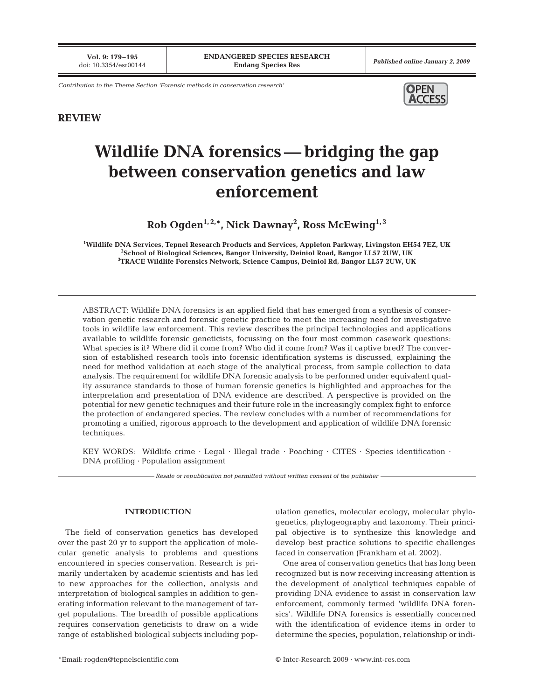**Vol. 9: 179–195**<br>doi: 10.3354/esr00144

Contribution to the Theme Section 'Forensic methods in conservation research' **OPEN** 



## **REVIEW**

# **Wildlife DNA forensics—bridging the gap between conservation genetics and law enforcement**

**Rob Ogden1, 2, \*, Nick Dawnay2 , Ross McEwing1, <sup>3</sup>**

**1 Wildlife DNA Services, Tepnel Research Products and Services, Appleton Parkway, Livingston EH54 7EZ, UK 2 School of Biological Sciences, Bangor University, Deiniol Road, Bangor LL57 2UW, UK 3 TRACE Wildlife Forensics Network, Science Campus, Deiniol Rd, Bangor LL57 2UW, UK**

ABSTRACT: Wildlife DNA forensics is an applied field that has emerged from a synthesis of conservation genetic research and forensic genetic practice to meet the increasing need for investigative tools in wildlife law enforcement. This review describes the principal technologies and applications available to wildlife forensic geneticists, focussing on the four most common casework questions: What species is it? Where did it come from? Who did it come from? Was it captive bred? The conversion of established research tools into forensic identification systems is discussed, explaining the need for method validation at each stage of the analytical process, from sample collection to data analysis. The requirement for wildlife DNA forensic analysis to be performed under equivalent quality assurance standards to those of human forensic genetics is highlighted and approaches for the interpretation and presentation of DNA evidence are described. A perspective is provided on the potential for new genetic techniques and their future role in the increasingly complex fight to enforce the protection of endangered species. The review concludes with a number of recommendations for promoting a unified, rigorous approach to the development and application of wildlife DNA forensic techniques.

KEY WORDS: Wildlife crime  $\cdot$  Legal  $\cdot$  Illegal trade  $\cdot$  Poaching  $\cdot$  CITES  $\cdot$  Species identification  $\cdot$ DNA profiling · Population assignment

Resale or republication not permitted without written consent of the publisher

#### **INTRODUCTION**

The field of conservation genetics has developed over the past 20 yr to support the application of molecular genetic analysis to problems and questions encountered in species conservation. Research is primarily undertaken by academic scientists and has led to new approaches for the collection, analysis and interpretation of biological samples in addition to generating information relevant to the management of target populations. The breadth of possible applications requires conservation geneticists to draw on a wide range of established biological subjects including pop-

ulation genetics, molecular ecology, molecular phylogenetics, phylogeography and taxonomy. Their principal objective is to synthesize this knowledge and develop best practice solutions to specific challenges faced in conservation (Frankham et al. 2002).

One area of conservation genetics that has long been recognized but is now receiving increasing attention is the development of analytical techniques capable of providing DNA evidence to assist in conservation law enforcement, commonly termed 'wildlife DNA forensics'. Wildlife DNA forensics is essentially concerned with the identification of evidence items in order to determine the species, population, relationship or indi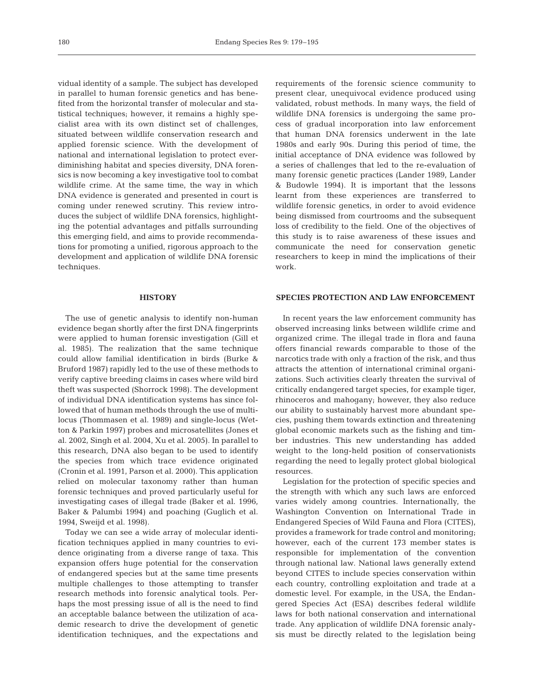vidual identity of a sample. The subject has developed in parallel to human forensic genetics and has benefited from the horizontal transfer of molecular and statistical techniques; however, it remains a highly specialist area with its own distinct set of challenges, situated between wildlife conservation research and applied forensic science. With the development of national and international legislation to protect everdiminishing habitat and species diversity, DNA forensics is now becoming a key investigative tool to combat wildlife crime. At the same time, the way in which DNA evidence is generated and presented in court is coming under renewed scrutiny. This review introduces the subject of wildlife DNA forensics, highlighting the potential advantages and pitfalls surrounding this emerging field, and aims to provide recommendations for promoting a unified, rigorous approach to the development and application of wildlife DNA forensic techniques.

#### **HISTORY**

The use of genetic analysis to identify non-human evidence began shortly after the first DNA fingerprints were applied to human forensic investigation (Gill et al. 1985). The realization that the same technique could allow familial identification in birds (Burke & Bruford 1987) rapidly led to the use of these methods to verify captive breeding claims in cases where wild bird theft was suspected (Shorrock 1998). The development of individual DNA identification systems has since followed that of human methods through the use of multilocus (Thommasen et al. 1989) and single-locus (Wetton & Parkin 1997) probes and microsatellites (Jones et al. 2002, Singh et al. 2004, Xu et al. 2005). In parallel to this research, DNA also began to be used to identify the species from which trace evidence originated (Cronin et al. 1991, Parson et al. 2000). This application relied on molecular taxonomy rather than human forensic techniques and proved particularly useful for investigating cases of illegal trade (Baker et al. 1996, Baker & Palumbi 1994) and poaching (Guglich et al. 1994, Sweijd et al. 1998).

Today we can see a wide array of molecular identification techniques applied in many countries to evidence originating from a diverse range of taxa. This expansion offers huge potential for the conservation of endangered species but at the same time presents multiple challenges to those attempting to transfer research methods into forensic analytical tools. Perhaps the most pressing issue of all is the need to find an acceptable balance between the utilization of academic research to drive the development of genetic identification techniques, and the expectations and requirements of the forensic science community to present clear, unequivocal evidence produced using validated, robust methods. In many ways, the field of wildlife DNA forensics is undergoing the same process of gradual incorporation into law enforcement that human DNA forensics underwent in the late 1980s and early 90s. During this period of time, the initial acceptance of DNA evidence was followed by a series of challenges that led to the re-evaluation of many forensic genetic practices (Lander 1989, Lander & Budowle 1994). It is important that the lessons learnt from these experiences are transferred to wildlife forensic genetics, in order to avoid evidence being dismissed from courtrooms and the subsequent loss of credibility to the field. One of the objectives of this study is to raise awareness of these issues and communicate the need for conservation genetic researchers to keep in mind the implications of their work.

## **SPECIES PROTECTION AND LAW ENFORCEMENT**

In recent years the law enforcement community has observed increasing links between wildlife crime and organized crime. The illegal trade in flora and fauna offers financial rewards comparable to those of the narcotics trade with only a fraction of the risk, and thus attracts the attention of international criminal organizations. Such activities clearly threaten the survival of critically endangered target species, for example tiger, rhinoceros and mahogany; however, they also reduce our ability to sustainably harvest more abundant species, pushing them towards extinction and threatening global economic markets such as the fishing and timber industries. This new understanding has added weight to the long-held position of conservationists regarding the need to legally protect global biological resources.

Legislation for the protection of specific species and the strength with which any such laws are enforced varies widely among countries. Internationally, the Washington Convention on International Trade in Endangered Species of Wild Fauna and Flora (CITES), provides a framework for trade control and monitoring; however, each of the current 173 member states is responsible for implementation of the convention through national law. National laws generally extend beyond CITES to include species conservation within each country, controlling exploitation and trade at a domestic level. For example, in the USA, the Endangered Species Act (ESA) describes federal wildlife laws for both national conservation and international trade. Any application of wildlife DNA forensic analysis must be directly related to the legislation being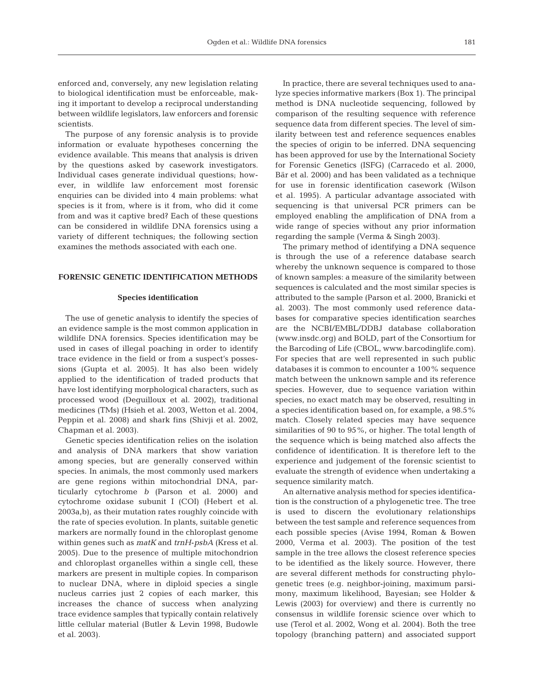enforced and, conversely, any new legislation relating to biological identification must be enforceable, making it important to develop a reciprocal understanding between wildlife legislators, law enforcers and forensic scientists.

The purpose of any forensic analysis is to provide information or evaluate hypotheses concerning the evidence available. This means that analysis is driven by the questions asked by casework investigators. Individual cases generate individual questions; however, in wildlife law enforcement most forensic enquiries can be divided into 4 main problems: what species is it from, where is it from, who did it come from and was it captive bred? Each of these questions can be considered in wildlife DNA forensics using a variety of different techniques; the following section examines the methods associated with each one.

## **FORENSIC GENETIC IDENTIFICATION METHODS**

## **Species identification**

The use of genetic analysis to identify the species of an evidence sample is the most common application in wildlife DNA forensics. Species identification may be used in cases of illegal poaching in order to identify trace evidence in the field or from a suspect's possessions (Gupta et al. 2005). It has also been widely applied to the identification of traded products that have lost identifying morphological characters, such as processed wood (Deguilloux et al. 2002), traditional medicines (TMs) (Hsieh et al. 2003, Wetton et al. 2004, Peppin et al. 2008) and shark fins (Shivji et al. 2002, Chapman et al. 2003).

Genetic species identification relies on the isolation and analysis of DNA markers that show variation among species, but are generally conserved within species. In animals, the most commonly used markers are gene regions within mitochondrial DNA, particularly cytochrome b (Parson et al. 2000) and cytochrome oxidase subunit I (COI) (Hebert et al. 2003a,b), as their mutation rates roughly coincide with the rate of species evolution. In plants, suitable genetic markers are normally found in the chloroplast genome within genes such as  $m \frac{at}{K}$  and  $\frac{tr}{H-p}$ sbA (Kress et al. 2005). Due to the presence of multiple mitochondrion and chloroplast organelles within a single cell, these markers are present in multiple copies. In comparison to nuclear DNA, where in diploid species a single nucleus carries just 2 copies of each marker, this increases the chance of success when analyzing trace evidence samples that typically contain relatively little cellular material (Butler & Levin 1998, Budowle et al. 2003).

In practice, there are several techniques used to analyze species informative markers (Box 1). The principal method is DNA nucleotide sequencing, followed by comparison of the resulting sequence with reference sequence data from different species. The level of similarity between test and reference sequences enables the species of origin to be inferred. DNA sequencing has been approved for use by the International Society for Forensic Genetics (ISFG) (Carracedo et al. 2000, Bär et al. 2000) and has been validated as a technique for use in forensic identification casework (Wilson et al. 1995). A particular advantage associated with sequencing is that universal PCR primers can be employed enabling the amplification of DNA from a wide range of species without any prior information regarding the sample (Verma & Singh 2003).

The primary method of identifying a DNA sequence is through the use of a reference database search whereby the unknown sequence is compared to those of known samples: a measure of the similarity between sequences is calculated and the most similar species is attributed to the sample (Parson et al. 2000, Branicki et al. 2003). The most commonly used reference databases for comparative species identification searches are the NCBI/EMBL/DDBJ database collaboration (www.insdc.org) and BOLD, part of the Consortium for the Barcoding of Life (CBOL, www.barcodinglife.com). For species that are well represented in such public databases it is common to encounter a 100% sequence match between the unknown sample and its reference species. However, due to sequence variation within species, no exact match may be observed, resulting in a species identification based on, for example, a 98.5% match. Closely related species may have sequence similarities of 90 to 95%, or higher. The total length of the sequence which is being matched also affects the confidence of identification. It is therefore left to the experience and judgement of the forensic scientist to evaluate the strength of evidence when undertaking a sequence similarity match.

An alternative analysis method for species identification is the construction of a phylogenetic tree. The tree is used to discern the evolutionary relationships between the test sample and reference sequences from each possible species (Avise 1994, Roman & Bowen 2000, Verma et al. 2003). The position of the test sample in the tree allows the closest reference species to be identified as the likely source. However, there are several different methods for constructing phylogenetic trees (e.g. neighbor-joining, maximum parsimony, maximum likelihood, Bayesian; see Holder & Lewis (2003) for overview) and there is currently no consensus in wildlife forensic science over which to use (Terol et al. 2002, Wong et al. 2004). Both the tree topology (branching pattern) and associated support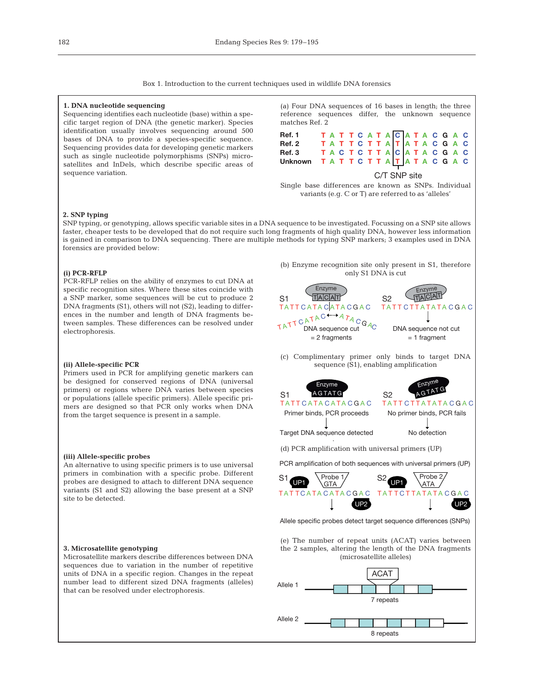Box 1. Introduction to the current techniques used in wildlife DNA forensics

## **1. DNA nucleotide sequencing**

Sequencing identifies each nucleotide (base) within a specific target region of DNA (the genetic marker). Species identification usually involves sequencing around 500 bases of DNA to provide a species-specific sequence. Sequencing provides data for developing genetic markers such as single nucleotide polymorphisms (SNPs) microsatellites and InDels, which describe specific areas of sequence variation.

(a) Four DNA sequences of 16 bases in length; the three reference sequences differ, the unknown sequence matches Ref. 2





## **2. SNP typing**

SNP typing, or genotyping, allows specific variable sites in a DNA sequence to be investigated. Focussing on a SNP site allows faster, cheaper tests to be developed that do not require such long fragments of high quality DNA, however less information is gained in comparison to DNA sequencing. There are multiple methods for typing SNP markers; 3 examples used in DNA forensics are provided below:

#### **(i) PCR-RFLP**

PCR-RFLP relies on the ability of enzymes to cut DNA at specific recognition sites. Where these sites coincide with a SNP marker, some sequences will be cut to produce 2 DNA fragments (S1), others will not (S2), leading to differences in the number and length of DNA fragments between samples. These differences can be resolved under electrophoresis.

#### **(ii) Allele-specific PCR**

Primers used in PCR for amplifying genetic markers can be designed for conserved regions of DNA (universal primers) or regions where DNA varies between species or populations (allele specific primers). Allele specific primers are designed so that PCR only works when DNA from the target sequence is present in a sample.

#### **(iii) Allele-specific probes**

An alternative to using specific primers is to use universal primers in combination with a specific probe. Different probes are designed to attach to different DNA sequence variants (S1 and S2) allowing the base present at a SNP site to be detected.

#### **3. Microsatellite genotyping**

Microsatellite markers describe differences between DNA sequences due to variation in the number of repetitive units of DNA in a specific region. Changes in the repeat number lead to different sized DNA fragments (alleles) that can be resolved under electrophoresis.

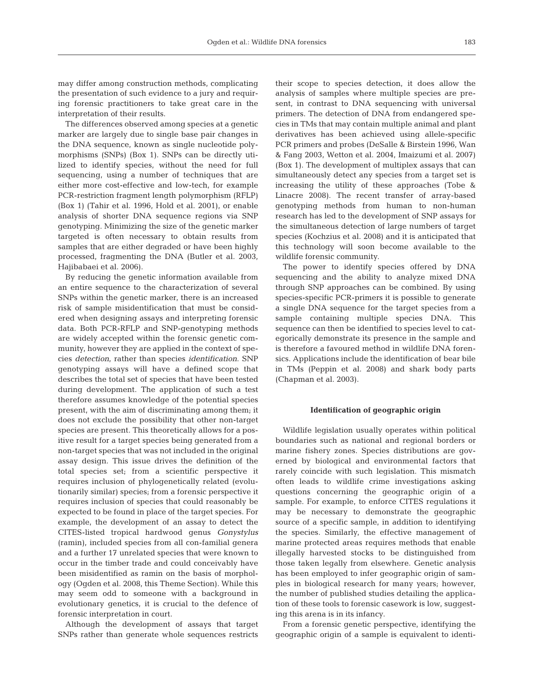may differ among construction methods, complicating the presentation of such evidence to a jury and requiring forensic practitioners to take great care in the interpretation of their results.

The differences observed among species at a genetic marker are largely due to single base pair changes in the DNA sequence, known as single nucleotide polymorphisms (SNPs) (Box 1). SNPs can be directly utilized to identify species, without the need for full sequencing, using a number of techniques that are either more cost-effective and low-tech, for example PCR-restriction fragment length polymorphism (RFLP) (Box 1) (Tahir et al. 1996, Hold et al. 2001), or enable analysis of shorter DNA sequence regions via SNP genotyping. Minimizing the size of the genetic marker targeted is often necessary to obtain results from samples that are either degraded or have been highly processed, fragmenting the DNA (Butler et al. 2003, Hajibabaei et al. 2006).

By reducing the genetic information available from an entire sequence to the characterization of several SNPs within the genetic marker, there is an increased risk of sample misidentification that must be considered when designing assays and interpreting forensic data. Both PCR-RFLP and SNP-genotyping methods are widely accepted within the forensic genetic community, however they are applied in the context of species detection, rather than species identification. SNP genotyping assays will have a defined scope that describes the total set of species that have been tested during development. The application of such a test therefore assumes knowledge of the potential species present, with the aim of discriminating among them; it does not exclude the possibility that other non-target species are present. This theoretically allows for a positive result for a target species being generated from a non-target species that was not included in the original assay design. This issue drives the definition of the total species set; from a scientific perspective it requires inclusion of phylogenetically related (evolutionarily similar) species; from a forensic perspective it requires inclusion of species that could reasonably be expected to be found in place of the target species. For example, the development of an assay to detect the CITES-listed tropical hardwood genus Gonystylus (ramin), included species from all con-familial genera and a further 17 unrelated species that were known to occur in the timber trade and could conceivably have been misidentified as ramin on the basis of morphology (Ogden et al. 2008, this Theme Section). While this may seem odd to someone with a background in evolutionary genetics, it is crucial to the defence of forensic interpretation in court.

Although the development of assays that target SNPs rather than generate whole sequences restricts their scope to species detection, it does allow the analysis of samples where multiple species are present, in contrast to DNA sequencing with universal primers. The detection of DNA from endangered species in TMs that may contain multiple animal and plant derivatives has been achieved using allele-specific PCR primers and probes (DeSalle & Birstein 1996, Wan & Fang 2003, Wetton et al. 2004, Imaizumi et al. 2007) (Box 1). The development of multiplex assays that can simultaneously detect any species from a target set is increasing the utility of these approaches (Tobe & Linacre 2008). The recent transfer of array-based genotyping methods from human to non-human research has led to the development of SNP assays for the simultaneous detection of large numbers of target species (Kochzius et al. 2008) and it is anticipated that this technology will soon become available to the wildlife forensic community.

The power to identify species offered by DNA sequencing and the ability to analyze mixed DNA through SNP approaches can be combined. By using species-specific PCR-primers it is possible to generate a single DNA sequence for the target species from a sample containing multiple species DNA. This sequence can then be identified to species level to categorically demonstrate its presence in the sample and is therefore a favoured method in wildlife DNA forensics. Applications include the identification of bear bile in TMs (Peppin et al. 2008) and shark body parts (Chapman et al. 2003).

#### **Identification of geographic origin**

Wildlife legislation usually operates within political boundaries such as national and regional borders or marine fishery zones. Species distributions are governed by biological and environmental factors that rarely coincide with such legislation. This mismatch often leads to wildlife crime investigations asking questions concerning the geographic origin of a sample. For example, to enforce CITES regulations it may be necessary to demonstrate the geographic source of a specific sample, in addition to identifying the species. Similarly, the effective management of marine protected areas requires methods that enable illegally harvested stocks to be distinguished from those taken legally from elsewhere. Genetic analysis has been employed to infer geographic origin of samples in biological research for many years; however, the number of published studies detailing the application of these tools to forensic casework is low, suggesting this arena is in its infancy.

From a forensic genetic perspective, identifying the geographic origin of a sample is equivalent to identi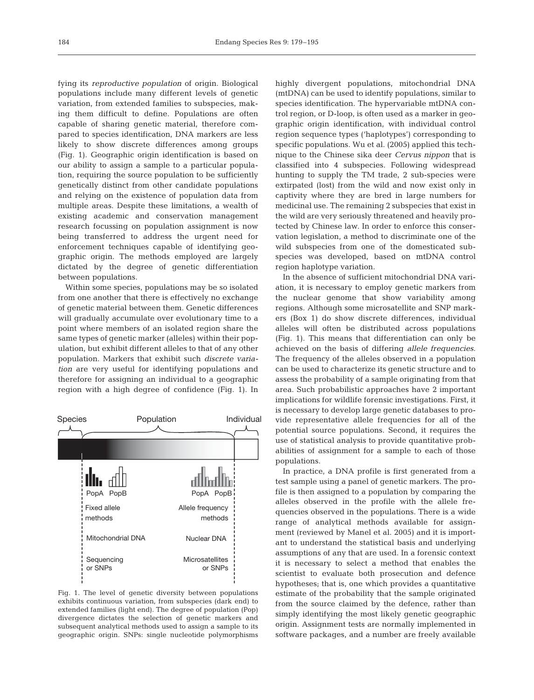fying its reproductive population of origin. Biological populations include many different levels of genetic variation, from extended families to subspecies, making them difficult to define. Populations are often capable of sharing genetic material, therefore compared to species identification, DNA markers are less likely to show discrete differences among groups (Fig. 1). Geographic origin identification is based on our ability to assign a sample to a particular population, requiring the source population to be sufficiently genetically distinct from other candidate populations and relying on the existence of population data from multiple areas. Despite these limitations, a wealth of existing academic and conservation management research focussing on population assignment is now being transferred to address the urgent need for enforcement techniques capable of identifying geographic origin. The methods employed are largely dictated by the degree of genetic differentiation between populations.

Within some species, populations may be so isolated from one another that there is effectively no exchange of genetic material between them. Genetic differences will gradually accumulate over evolutionary time to a point where members of an isolated region share the same types of genetic marker (alleles) within their population, but exhibit different alleles to that of any other population. Markers that exhibit such discrete variation are very useful for identifying populations and therefore for assigning an individual to a geographic region with a high degree of confidence (Fig. 1). In



Fig. 1. The level of genetic diversity between populations exhibits continuous variation, from subspecies (dark end) to extended families (light end). The degree of population (Pop) divergence dictates the selection of genetic markers and subsequent analytical methods used to assign a sample to its geographic origin. SNPs: single nucleotide polymorphisms

highly divergent populations, mitochondrial DNA (mtDNA) can be used to identify populations, similar to species identification. The hypervariable mtDNA control region, or D-loop, is often used as a marker in geographic origin identification, with individual control region sequence types ('haplotypes') corresponding to specific populations. Wu et al. (2005) applied this technique to the Chinese sika deer Cervus nippon that is classified into 4 subspecies. Following widespread hunting to supply the TM trade, 2 sub-species were extirpated (lost) from the wild and now exist only in captivity where they are bred in large numbers for medicinal use. The remaining 2 subspecies that exist in the wild are very seriously threatened and heavily protected by Chinese law. In order to enforce this conservation legislation, a method to discriminate one of the wild subspecies from one of the domesticated subspecies was developed, based on mtDNA control region haplotype variation.

In the absence of sufficient mitochondrial DNA variation, it is necessary to employ genetic markers from the nuclear genome that show variability among regions. Although some microsatellite and SNP markers (Box 1) do show discrete differences, individual alleles will often be distributed across populations (Fig. 1). This means that differentiation can only be achieved on the basis of differing allele frequencies. The frequency of the alleles observed in a population can be used to characterize its genetic structure and to assess the probability of a sample originating from that area. Such probabilistic approaches have 2 important implications for wildlife forensic investigations. First, it is necessary to develop large genetic databases to provide representative allele frequencies for all of the potential source populations. Second, it requires the use of statistical analysis to provide quantitative probabilities of assignment for a sample to each of those populations.

In practice, a DNA profile is first generated from a test sample using a panel of genetic markers. The profile is then assigned to a population by comparing the alleles observed in the profile with the allele frequencies observed in the populations. There is a wide range of analytical methods available for assignment (reviewed by Manel et al. 2005) and it is important to understand the statistical basis and underlying assumptions of any that are used. In a forensic context it is necessary to select a method that enables the scientist to evaluate both prosecution and defence hypotheses; that is, one which provides a quantitative estimate of the probability that the sample originated from the source claimed by the defence, rather than simply identifying the most likely genetic geographic origin. Assignment tests are normally implemented in software packages, and a number are freely available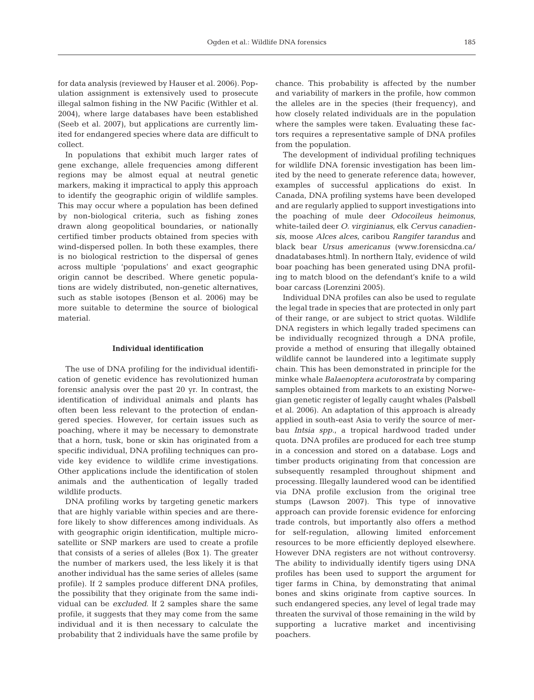for data analysis (reviewed by Hauser et al. 2006). Population assignment is extensively used to prosecute illegal salmon fishing in the NW Pacific (Withler et al. 2004), where large databases have been established (Seeb et al. 2007), but applications are currently limited for endangered species where data are difficult to collect.

In populations that exhibit much larger rates of gene exchange, allele frequencies among different regions may be almost equal at neutral genetic markers, making it impractical to apply this approach to identify the geographic origin of wildlife samples. This may occur where a population has been defined by non-biological criteria, such as fishing zones drawn along geopolitical boundaries, or nationally certified timber products obtained from species with wind-dispersed pollen. In both these examples, there is no biological restriction to the dispersal of genes across multiple 'populations' and exact geographic origin cannot be described. Where genetic populations are widely distributed, non-genetic alternatives, such as stable isotopes (Benson et al. 2006) may be more suitable to determine the source of biological material.

## **Individual identification**

The use of DNA profiling for the individual identification of genetic evidence has revolutionized human forensic analysis over the past 20 yr. In contrast, the identification of individual animals and plants has often been less relevant to the protection of endangered species. However, for certain issues such as poaching, where it may be necessary to demonstrate that a horn, tusk, bone or skin has originated from a specific individual, DNA profiling techniques can provide key evidence to wildlife crime investigations. Other applications include the identification of stolen animals and the authentication of legally traded wildlife products.

DNA profiling works by targeting genetic markers that are highly variable within species and are therefore likely to show differences among individuals. As with geographic origin identification, multiple microsatellite or SNP markers are used to create a profile that consists of a series of alleles (Box 1). The greater the number of markers used, the less likely it is that another individual has the same series of alleles (same profile). If 2 samples produce different DNA profiles, the possibility that they originate from the same individual can be excluded. If 2 samples share the same profile, it suggests that they may come from the same individual and it is then necessary to calculate the probability that 2 individuals have the same profile by chance. This probability is affected by the number and variability of markers in the profile, how common the alleles are in the species (their frequency), and how closely related individuals are in the population where the samples were taken. Evaluating these factors requires a representative sample of DNA profiles from the population.

The development of individual profiling techniques for wildlife DNA forensic investigation has been limited by the need to generate reference data; however, examples of successful applications do exist. In Canada, DNA profiling systems have been developed and are regularly applied to support investigations into the poaching of mule deer Odocoileus heimonus, white-tailed deer O. virginianus, elk Cervus canadiensis, moose Alces alces, caribou Rangifer tarandus and black bear Ursus americanus (www.forensicdna.ca/ dnadatabases.html). In northern Italy, evidence of wild boar poaching has been generated using DNA profiling to match blood on the defendant's knife to a wild boar carcass (Lorenzini 2005).

Individual DNA profiles can also be used to regulate the legal trade in species that are protected in only part of their range, or are subject to strict quotas. Wildlife DNA registers in which legally traded specimens can be individually recognized through a DNA profile, provide a method of ensuring that illegally obtained wildlife cannot be laundered into a legitimate supply chain. This has been demonstrated in principle for the minke whale Balaenoptera acutorostrata by comparing samples obtained from markets to an existing Norwegian genetic register of legally caught whales (Palsbøll et al. 2006). An adaptation of this approach is already applied in south-east Asia to verify the source of merbau Intsia spp., a tropical hardwood traded under quota. DNA profiles are produced for each tree stump in a concession and stored on a database. Logs and timber products originating from that concession are subsequently resampled throughout shipment and processing. Illegally laundered wood can be identified via DNA profile exclusion from the original tree stumps (Lawson 2007). This type of innovative approach can provide forensic evidence for enforcing trade controls, but importantly also offers a method for self-regulation, allowing limited enforcement resources to be more efficiently deployed elsewhere. However DNA registers are not without controversy. The ability to individually identify tigers using DNA profiles has been used to support the argument for tiger farms in China, by demonstrating that animal bones and skins originate from captive sources. In such endangered species, any level of legal trade may threaten the survival of those remaining in the wild by supporting a lucrative market and incentivising poachers.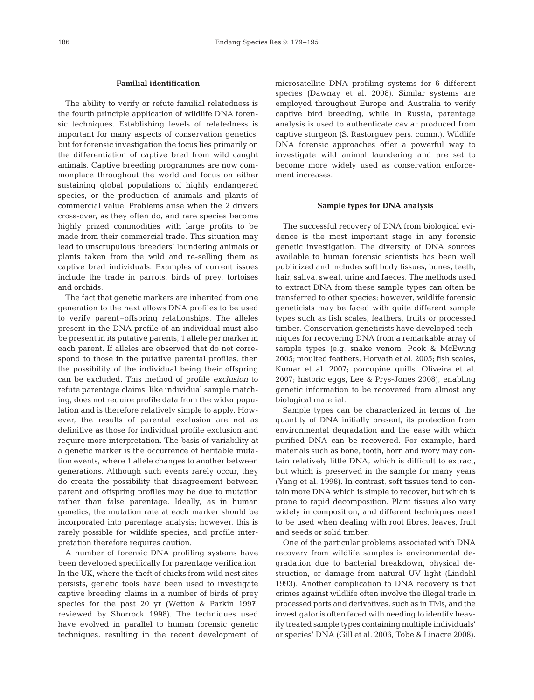## **Familial identification**

The ability to verify or refute familial relatedness is the fourth principle application of wildlife DNA forensic techniques. Establishing levels of relatedness is important for many aspects of conservation genetics, but for forensic investigation the focus lies primarily on the differentiation of captive bred from wild caught animals. Captive breeding programmes are now commonplace throughout the world and focus on either sustaining global populations of highly endangered species, or the production of animals and plants of commercial value. Problems arise when the 2 drivers cross-over, as they often do, and rare species become highly prized commodities with large profits to be made from their commercial trade. This situation may lead to unscrupulous 'breeders' laundering animals or plants taken from the wild and re-selling them as captive bred individuals. Examples of current issues include the trade in parrots, birds of prey, tortoises and orchids.

The fact that genetic markers are inherited from one generation to the next allows DNA profiles to be used to verify parent–offspring relationships. The alleles present in the DNA profile of an individual must also be present in its putative parents, 1 allele per marker in each parent. If alleles are observed that do not correspond to those in the putative parental profiles, then the possibility of the individual being their offspring can be excluded. This method of profile exclusion to refute parentage claims, like individual sample matching, does not require profile data from the wider population and is therefore relatively simple to apply. However, the results of parental exclusion are not as definitive as those for individual profile exclusion and require more interpretation. The basis of variability at a genetic marker is the occurrence of heritable mutation events, where 1 allele changes to another between generations. Although such events rarely occur, they do create the possibility that disagreement between parent and offspring profiles may be due to mutation rather than false parentage. Ideally, as in human genetics, the mutation rate at each marker should be incorporated into parentage analysis; however, this is rarely possible for wildlife species, and profile interpretation therefore requires caution.

A number of forensic DNA profiling systems have been developed specifically for parentage verification. In the UK, where the theft of chicks from wild nest sites persists, genetic tools have been used to investigate captive breeding claims in a number of birds of prey species for the past 20 yr (Wetton & Parkin 1997; reviewed by Shorrock 1998). The techniques used have evolved in parallel to human forensic genetic techniques, resulting in the recent development of microsatellite DNA profiling systems for 6 different species (Dawnay et al. 2008). Similar systems are employed throughout Europe and Australia to verify captive bird breeding, while in Russia, parentage analysis is used to authenticate caviar produced from captive sturgeon (S. Rastorguev pers. comm.). Wildlife DNA forensic approaches offer a powerful way to investigate wild animal laundering and are set to become more widely used as conservation enforcement increases.

#### **Sample types for DNA analysis**

The successful recovery of DNA from biological evidence is the most important stage in any forensic genetic investigation. The diversity of DNA sources available to human forensic scientists has been well publicized and includes soft body tissues, bones, teeth, hair, saliva, sweat, urine and faeces. The methods used to extract DNA from these sample types can often be transferred to other species; however, wildlife forensic geneticists may be faced with quite different sample types such as fish scales, feathers, fruits or processed timber. Conservation geneticists have developed techniques for recovering DNA from a remarkable array of sample types (e.g. snake venom, Pook & McEwing 2005; moulted feathers, Horvath et al. 2005; fish scales, Kumar et al. 2007; porcupine quills, Oliveira et al. 2007; historic eggs, Lee & Prys-Jones 2008), enabling genetic information to be recovered from almost any biological material.

Sample types can be characterized in terms of the quantity of DNA initially present, its protection from environmental degradation and the ease with which purified DNA can be recovered. For example, hard materials such as bone, tooth, horn and ivory may contain relatively little DNA, which is difficult to extract, but which is preserved in the sample for many years (Yang et al. 1998). In contrast, soft tissues tend to contain more DNA which is simple to recover, but which is prone to rapid decomposition. Plant tissues also vary widely in composition, and different techniques need to be used when dealing with root fibres, leaves, fruit and seeds or solid timber.

One of the particular problems associated with DNA recovery from wildlife samples is environmental degradation due to bacterial breakdown, physical destruction, or damage from natural UV light (Lindahl 1993). Another complication to DNA recovery is that crimes against wildlife often involve the illegal trade in processed parts and derivatives, such as in TMs, and the investigator is often faced with needing to identify heavily treated sample types containing multiple individuals' or species' DNA (Gill et al. 2006, Tobe & Linacre 2008).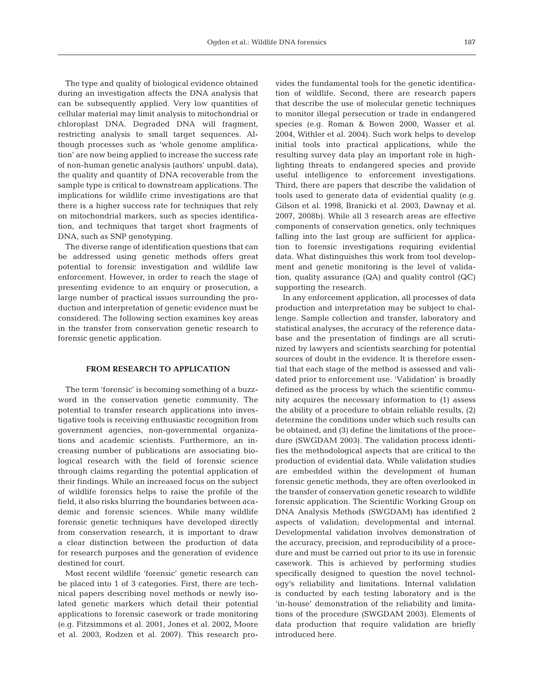The type and quality of biological evidence obtained during an investigation affects the DNA analysis that can be subsequently applied. Very low quantities of cellular material may limit analysis to mitochondrial or chloroplast DNA. Degraded DNA will fragment, restricting analysis to small target sequences. Although processes such as 'whole genome amplification' are now being applied to increase the success rate of non-human genetic analysis (authors' unpubl. data), the quality and quantity of DNA recoverable from the sample type is critical to downstream applications. The implications for wildlife crime investigations are that there is a higher success rate for techniques that rely on mitochondrial markers, such as species identification, and techniques that target short fragments of DNA, such as SNP genotyping.

The diverse range of identification questions that can be addressed using genetic methods offers great potential to forensic investigation and wildlife law enforcement. However, in order to reach the stage of presenting evidence to an enquiry or prosecution, a large number of practical issues surrounding the production and interpretation of genetic evidence must be considered. The following section examines key areas in the transfer from conservation genetic research to forensic genetic application.

### **FROM RESEARCH TO APPLICATION**

The term 'forensic' is becoming something of a buzzword in the conservation genetic community. The potential to transfer research applications into investigative tools is receiving enthusiastic recognition from government agencies, non-governmental organizations and academic scientists. Furthermore, an increasing number of publications are associating biological research with the field of forensic science through claims regarding the potential application of their findings. While an increased focus on the subject of wildlife forensics helps to raise the profile of the field, it also risks blurring the boundaries between academic and forensic sciences. While many wildlife forensic genetic techniques have developed directly from conservation research, it is important to draw a clear distinction between the production of data for research purposes and the generation of evidence destined for court.

Most recent wildlife 'forensic' genetic research can be placed into 1 of 3 categories. First, there are technical papers describing novel methods or newly isolated genetic markers which detail their potential applications to forensic casework or trade monitoring (e.g. Fitzsimmons et al. 2001, Jones et al. 2002, Moore et al. 2003, Rodzen et al. 2007). This research provides the fundamental tools for the genetic identification of wildlife. Second, there are research papers that describe the use of molecular genetic techniques to monitor illegal persecution or trade in endangered species (e.g. Roman & Bowen 2000, Wasser et al. 2004, Withler et al. 2004). Such work helps to develop initial tools into practical applications, while the resulting survey data play an important role in highlighting threats to endangered species and provide useful intelligence to enforcement investigations. Third, there are papers that describe the validation of tools used to generate data of evidential quality (e.g. Gilson et al. 1998, Branicki et al. 2003, Dawnay et al. 2007, 2008b). While all 3 research areas are effective components of conservation genetics, only techniques falling into the last group are sufficient for application to forensic investigations requiring evidential data. What distinguishes this work from tool development and genetic monitoring is the level of validation, quality assurance (QA) and quality control (QC) supporting the research.

In any enforcement application, all processes of data production and interpretation may be subject to challenge. Sample collection and transfer, laboratory and statistical analyses, the accuracy of the reference database and the presentation of findings are all scrutinized by lawyers and scientists searching for potential sources of doubt in the evidence. It is therefore essential that each stage of the method is assessed and validated prior to enforcement use. 'Validation' is broadly defined as the process by which the scientific community acquires the necessary information to (1) assess the ability of a procedure to obtain reliable results, (2) determine the conditions under which such results can be obtained, and (3) define the limitations of the procedure (SWGDAM 2003). The validation process identifies the methodological aspects that are critical to the production of evidential data. While validation studies are embedded within the development of human forensic genetic methods, they are often overlooked in the transfer of conservation genetic research to wildlife forensic application. The Scientific Working Group on DNA Analysis Methods (SWGDAM) has identified 2 aspects of validation; developmental and internal. Developmental validation involves demonstration of the accuracy, precision, and reproducibility of a procedure and must be carried out prior to its use in forensic casework. This is achieved by performing studies specifically designed to question the novel technology's reliability and limitations. Internal validation is conducted by each testing laboratory and is the 'in-house' demonstration of the reliability and limitations of the procedure (SWGDAM 2003). Elements of data production that require validation are briefly introduced here.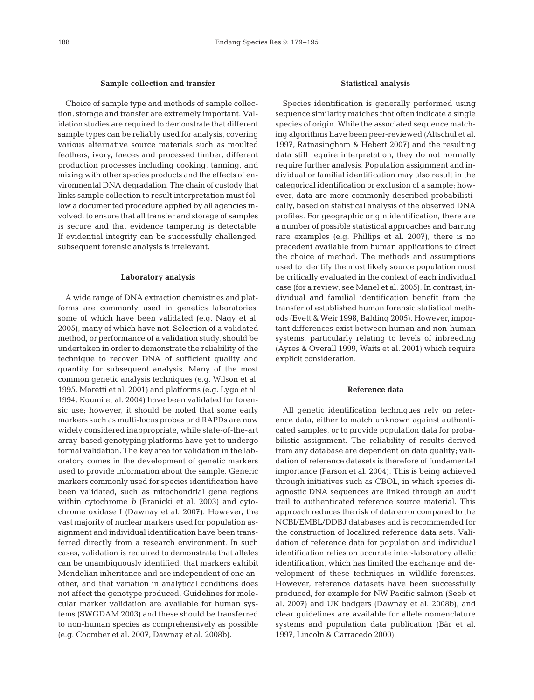## **Sample collection and transfer**

Choice of sample type and methods of sample collection, storage and transfer are extremely important. Validation studies are required to demonstrate that different sample types can be reliably used for analysis, covering various alternative source materials such as moulted feathers, ivory, faeces and processed timber, different production processes including cooking, tanning, and mixing with other species products and the effects of environmental DNA degradation. The chain of custody that links sample collection to result interpretation must follow a documented procedure applied by all agencies involved, to ensure that all transfer and storage of samples is secure and that evidence tampering is detectable. If evidential integrity can be successfully challenged, subsequent forensic analysis is irrelevant.

#### **Laboratory analysis**

A wide range of DNA extraction chemistries and platforms are commonly used in genetics laboratories, some of which have been validated (e.g. Nagy et al. 2005), many of which have not. Selection of a validated method, or performance of a validation study, should be undertaken in order to demonstrate the reliability of the technique to recover DNA of sufficient quality and quantity for subsequent analysis. Many of the most common genetic analysis techniques (e.g. Wilson et al. 1995, Moretti et al. 2001) and platforms (e.g. Lygo et al. 1994, Koumi et al. 2004) have been validated for forensic use; however, it should be noted that some early markers such as multi-locus probes and RAPDs are now widely considered inappropriate, while state-of-the-art array-based genotyping platforms have yet to undergo formal validation. The key area for validation in the laboratory comes in the development of genetic markers used to provide information about the sample. Generic markers commonly used for species identification have been validated, such as mitochondrial gene regions within cytochrome b (Branicki et al. 2003) and cytochrome oxidase I (Dawnay et al. 2007). However, the vast majority of nuclear markers used for population assignment and individual identification have been transferred directly from a research environment. In such cases, validation is required to demonstrate that alleles can be unambiguously identified, that markers exhibit Mendelian inheritance and are independent of one another, and that variation in analytical conditions does not affect the genotype produced. Guidelines for molecular marker validation are available for human systems (SWGDAM 2003) and these should be transferred to non-human species as comprehensively as possible (e.g. Coomber et al. 2007, Dawnay et al. 2008b).

## **Statistical analysis**

Species identification is generally performed using sequence similarity matches that often indicate a single species of origin. While the associated sequence matching algorithms have been peer-reviewed (Altschul et al. 1997, Ratnasingham & Hebert 2007) and the resulting data still require interpretation, they do not normally require further analysis. Population assignment and individual or familial identification may also result in the categorical identification or exclusion of a sample; however, data are more commonly described probabilistically, based on statistical analysis of the observed DNA profiles. For geographic origin identification, there are a number of possible statistical approaches and barring rare examples (e.g. Phillips et al. 2007), there is no precedent available from human applications to direct the choice of method. The methods and assumptions used to identify the most likely source population must be critically evaluated in the context of each individual case (for a review, see Manel et al. 2005). In contrast, individual and familial identification benefit from the transfer of established human forensic statistical methods (Evett & Weir 1998, Balding 2005). However, important differences exist between human and non-human systems, particularly relating to levels of inbreeding (Ayres & Overall 1999, Waits et al. 2001) which require explicit consideration.

#### **Reference data**

All genetic identification techniques rely on reference data, either to match unknown against authenticated samples, or to provide population data for probabilistic assignment. The reliability of results derived from any database are dependent on data quality; validation of reference datasets is therefore of fundamental importance (Parson et al. 2004). This is being achieved through initiatives such as CBOL, in which species diagnostic DNA sequences are linked through an audit trail to authenticated reference source material. This approach reduces the risk of data error compared to the NCBI/EMBL/DDBJ databases and is recommended for the construction of localized reference data sets. Validation of reference data for population and individual identification relies on accurate inter-laboratory allelic identification, which has limited the exchange and development of these techniques in wildlife forensics. However, reference datasets have been successfully produced, for example for NW Pacific salmon (Seeb et al. 2007) and UK badgers (Dawnay et al. 2008b), and clear guidelines are available for allele nomenclature systems and population data publication (Bär et al. 1997, Lincoln & Carracedo 2000).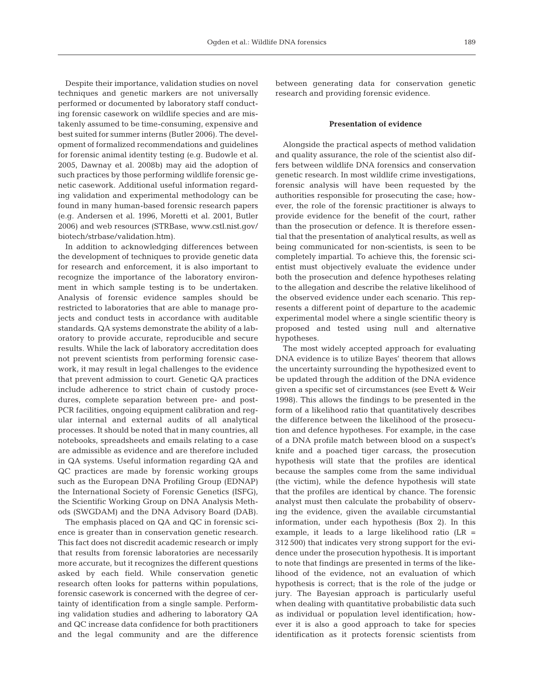Despite their importance, validation studies on novel techniques and genetic markers are not universally performed or documented by laboratory staff conducting forensic casework on wildlife species and are mistakenly assumed to be time-consuming, expensive and best suited for summer interns (Butler 2006). The development of formalized recommendations and guidelines for forensic animal identity testing (e.g. Budowle et al. 2005, Dawnay et al. 2008b) may aid the adoption of such practices by those performing wildlife forensic genetic casework. Additional useful information regarding validation and experimental methodology can be found in many human-based forensic research papers (e.g. Andersen et al. 1996, Moretti et al. 2001, Butler 2006) and web resources (STRBase, www.cstl.nist.gov/ biotech/strbase/validation.htm).

In addition to acknowledging differences between the development of techniques to provide genetic data for research and enforcement, it is also important to recognize the importance of the laboratory environment in which sample testing is to be undertaken. Analysis of forensic evidence samples should be restricted to laboratories that are able to manage projects and conduct tests in accordance with auditable standards. QA systems demonstrate the ability of a laboratory to provide accurate, reproducible and secure results. While the lack of laboratory accreditation does not prevent scientists from performing forensic casework, it may result in legal challenges to the evidence that prevent admission to court. Genetic QA practices include adherence to strict chain of custody procedures, complete separation between pre- and post-PCR facilities, ongoing equipment calibration and regular internal and external audits of all analytical processes. It should be noted that in many countries, all notebooks, spreadsheets and emails relating to a case are admissible as evidence and are therefore included in QA systems. Useful information regarding QA and QC practices are made by forensic working groups such as the European DNA Profiling Group (EDNAP) the International Society of Forensic Genetics (ISFG), the Scientific Working Group on DNA Analysis Methods (SWGDAM) and the DNA Advisory Board (DAB).

The emphasis placed on QA and QC in forensic science is greater than in conservation genetic research. This fact does not discredit academic research or imply that results from forensic laboratories are necessarily more accurate, but it recognizes the different questions asked by each field. While conservation genetic research often looks for patterns within populations, forensic casework is concerned with the degree of certainty of identification from a single sample. Performing validation studies and adhering to laboratory QA and QC increase data confidence for both practitioners and the legal community and are the difference between generating data for conservation genetic research and providing forensic evidence.

#### **Presentation of evidence**

Alongside the practical aspects of method validation and quality assurance, the role of the scientist also differs between wildlife DNA forensics and conservation genetic research. In most wildlife crime investigations, forensic analysis will have been requested by the authorities responsible for prosecuting the case; however, the role of the forensic practitioner is always to provide evidence for the benefit of the court, rather than the prosecution or defence. It is therefore essential that the presentation of analytical results, as well as being communicated for non-scientists, is seen to be completely impartial. To achieve this, the forensic scientist must objectively evaluate the evidence under both the prosecution and defence hypotheses relating to the allegation and describe the relative likelihood of the observed evidence under each scenario. This represents a different point of departure to the academic experimental model where a single scientific theory is proposed and tested using null and alternative hypotheses.

The most widely accepted approach for evaluating DNA evidence is to utilize Bayes' theorem that allows the uncertainty surrounding the hypothesized event to be updated through the addition of the DNA evidence given a specific set of circumstances (see Evett & Weir 1998). This allows the findings to be presented in the form of a likelihood ratio that quantitatively describes the difference between the likelihood of the prosecution and defence hypotheses. For example, in the case of a DNA profile match between blood on a suspect's knife and a poached tiger carcass, the prosecution hypothesis will state that the profiles are identical because the samples come from the same individual (the victim), while the defence hypothesis will state that the profiles are identical by chance. The forensic analyst must then calculate the probability of observing the evidence, given the available circumstantial information, under each hypothesis (Box 2). In this example, it leads to a large likelihood ratio  $(LR =$ 312 500) that indicates very strong support for the evidence under the prosecution hypothesis. It is important to note that findings are presented in terms of the likelihood of the evidence, not an evaluation of which hypothesis is correct; that is the role of the judge or jury. The Bayesian approach is particularly useful when dealing with quantitative probabilistic data such as individual or population level identification; however it is also a good approach to take for species identification as it protects forensic scientists from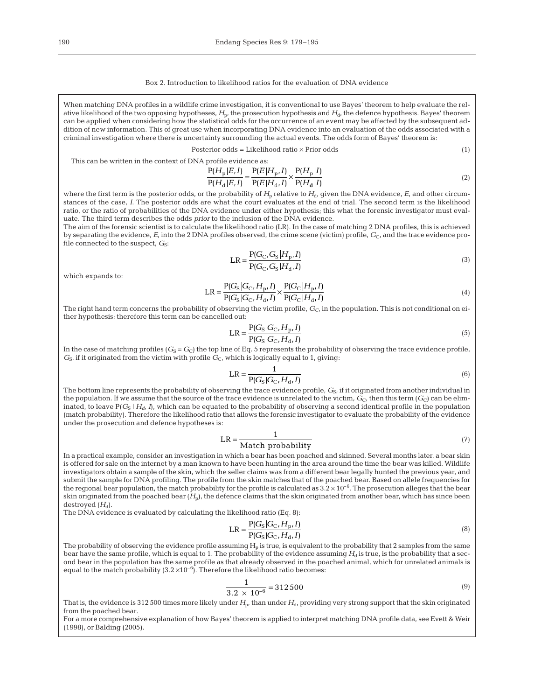#### Box 2. Introduction to likelihood ratios for the evaluation of DNA evidence

When matching DNA profiles in a wildlife crime investigation, it is conventional to use Bayes' theorem to help evaluate the relative likelihood of the two opposing hypotheses,  $H_p$ , the prosecution hypothesis and  $H_d$ , the defence hypothesis. Bayes' theorem can be applied when considering how the statistical odds for the occurrence of an event may be affected by the subsequent addition of new information. This of great use when incorporating DNA evidence into an evaluation of the odds associated with a criminal investigation where there is uncertainty surrounding the actual events. The odds form of Bayes' theorem is:

$$
Posterior odds = Likelihood ratio \times Prior odds
$$
\n(1)

This can be written in the context of DNA profile evidence as:

$$
\frac{P(H_p|E,I)}{P(H_q|E,I)} = \frac{P(E|H_p,I)}{P(E|H_d,I)} \times \frac{P(H_p|I)}{P(H_q|I)}
$$
\n(2)

where the first term is the posterior odds, or the probability of  $H<sub>p</sub>$  relative to  $H<sub>d</sub>$ , given the DNA evidence, E, and other circumstances of the case, I. The posterior odds are what the court evaluates at the end of trial. The second term is the likelihood ratio, or the ratio of probabilities of the DNA evidence under either hypothesis; this what the forensic investigator must evaluate. The third term describes the odds prior to the inclusion of the DNA evidence.

The aim of the forensic scientist is to calculate the likelihood ratio (LR). In the case of matching 2 DNA profiles, this is achieved by separating the evidence,  $E_i$ , into the 2 DNA profiles observed, the crime scene (victim) profile,  $G_{C_i}$  and the trace evidence profile connected to the suspect,  $G_S$ :

$$
LR = \frac{P(G_C, G_S | H_p, I)}{P(G_C, G_S | H_d, I)}
$$
(3)

which expands to:

$$
LR = \frac{P(G_S | G_C, H_p, I)}{P(G_S | G_C, H_d, I)} \times \frac{P(G_C | H_p, I)}{P(G_C | H_d, I)}
$$
(4)

The right hand term concerns the probability of observing the victim profile,  $G_C$  in the population. This is not conditional on either hypothesis; therefore this term can be cancelled out:

$$
LR = \frac{P(G_S | G_C, H_p, I)}{P(G_S | G_C, H_d, I)}
$$
(5)

In the case of matching profiles  $(G<sub>S</sub> = G<sub>C</sub>)$  the top line of Eq. 5 represents the probability of observing the trace evidence profile,  $G<sub>S</sub>$ , if it originated from the victim with profile  $G<sub>C</sub>$ , which is logically equal to 1, giving:

$$
LR = \frac{1}{P(GS|GC, Hd, I)}
$$
\n
$$
(6)
$$

The bottom line represents the probability of observing the trace evidence profile,  $G_S$ , if it originated from another individual in the population. If we assume that the source of the trace evidence is unrelated to the victim,  $G_C$ , then this term ( $G_C$ ) can be eliminated, to leave  $P(G_S | H_d, I)$ , which can be equated to the probability of observing a second identical profile in the population (match probability). Therefore the likelihood ratio that allows the forensic investigator to evaluate the probability of the evidence under the prosecution and defence hypotheses is:

$$
LR = \frac{1}{\text{Match probability}}
$$
 (7)

In a practical example, consider an investigation in which a bear has been poached and skinned. Several months later, a bear skin is offered for sale on the internet by a man known to have been hunting in the area around the time the bear was killed. Wildlife investigators obtain a sample of the skin, which the seller claims was from a different bear legally hunted the previous year, and submit the sample for DNA profiling. The profile from the skin matches that of the poached bear. Based on allele frequencies for the regional bear population, the match probability for the profile is calculated as  $3.2\times10^{-6}.$  The prosecution alleges that the bear skin originated from the poached bear  $(H<sub>0</sub>)$ , the defence claims that the skin originated from another bear, which has since been destroyed  $(H_d)$ .

The DNA evidence is evaluated by calculating the likelihood ratio (Eq. 8):

$$
LR = \frac{P(G_S | G_C, H_p, I)}{P(G_S | G_C, H_d, I)}
$$
(8)

The probability of observing the evidence profile assuming  $H<sub>p</sub>$  is true, is equivalent to the probability that 2 samples from the same bear have the same profile, which is equal to 1. The probability of the evidence assuming  $H_d$  is true, is the probability that a second bear in the population has the same profile as that already observed in the poached animal, which for unrelated animals is equal to the match probability  $(3.2 \times 10^{-6})$ . Therefore the likelihood ratio becomes:

$$
\frac{1}{3.2 \times 10^{-6}} = 312500
$$
 (9)

That is, the evidence is 312 500 times more likely under  $H_0$ , than under  $H_d$ , providing very strong support that the skin originated from the poached bear.

For a more comprehensive explanation of how Bayes' theorem is applied to interpret matching DNA profile data, see Evett & Weir (1998), or Balding (2005).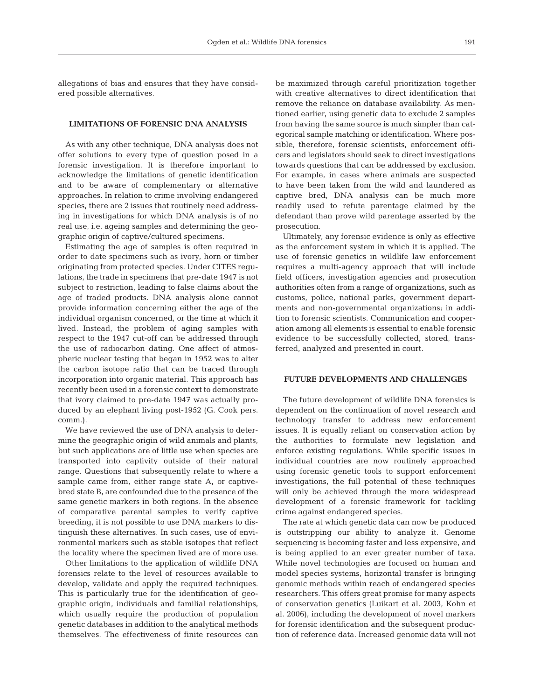allegations of bias and ensures that they have considered possible alternatives.

## **LIMITATIONS OF FORENSIC DNA ANALYSIS**

As with any other technique, DNA analysis does not offer solutions to every type of question posed in a forensic investigation. It is therefore important to acknowledge the limitations of genetic identification and to be aware of complementary or alternative approaches. In relation to crime involving endangered species, there are 2 issues that routinely need addressing in investigations for which DNA analysis is of no real use, i.e. ageing samples and determining the geographic origin of captive/cultured specimens.

Estimating the age of samples is often required in order to date specimens such as ivory, horn or timber originating from protected species. Under CITES regulations, the trade in specimens that pre-date 1947 is not subject to restriction, leading to false claims about the age of traded products. DNA analysis alone cannot provide information concerning either the age of the individual organism concerned, or the time at which it lived. Instead, the problem of aging samples with respect to the 1947 cut-off can be addressed through the use of radiocarbon dating. One affect of atmospheric nuclear testing that began in 1952 was to alter the carbon isotope ratio that can be traced through incorporation into organic material. This approach has recently been used in a forensic context to demonstrate that ivory claimed to pre-date 1947 was actually produced by an elephant living post-1952 (G. Cook pers. comm.).

We have reviewed the use of DNA analysis to determine the geographic origin of wild animals and plants, but such applications are of little use when species are transported into captivity outside of their natural range. Questions that subsequently relate to where a sample came from, either range state A, or captivebred state B, are confounded due to the presence of the same genetic markers in both regions. In the absence of comparative parental samples to verify captive breeding, it is not possible to use DNA markers to distinguish these alternatives. In such cases, use of environmental markers such as stable isotopes that reflect the locality where the specimen lived are of more use.

Other limitations to the application of wildlife DNA forensics relate to the level of resources available to develop, validate and apply the required techniques. This is particularly true for the identification of geographic origin, individuals and familial relationships, which usually require the production of population genetic databases in addition to the analytical methods themselves. The effectiveness of finite resources can be maximized through careful prioritization together with creative alternatives to direct identification that remove the reliance on database availability. As mentioned earlier, using genetic data to exclude 2 samples from having the same source is much simpler than categorical sample matching or identification. Where possible, therefore, forensic scientists, enforcement officers and legislators should seek to direct investigations towards questions that can be addressed by exclusion. For example, in cases where animals are suspected to have been taken from the wild and laundered as captive bred, DNA analysis can be much more readily used to refute parentage claimed by the defendant than prove wild parentage asserted by the prosecution.

Ultimately, any forensic evidence is only as effective as the enforcement system in which it is applied. The use of forensic genetics in wildlife law enforcement requires a multi-agency approach that will include field officers, investigation agencies and prosecution authorities often from a range of organizations, such as customs, police, national parks, government departments and non-governmental organizations; in addition to forensic scientists. Communication and cooperation among all elements is essential to enable forensic evidence to be successfully collected, stored, transferred, analyzed and presented in court.

## **FUTURE DEVELOPMENTS AND CHALLENGES**

The future development of wildlife DNA forensics is dependent on the continuation of novel research and technology transfer to address new enforcement issues. It is equally reliant on conservation action by the authorities to formulate new legislation and enforce existing regulations. While specific issues in individual countries are now routinely approached using forensic genetic tools to support enforcement investigations, the full potential of these techniques will only be achieved through the more widespread development of a forensic framework for tackling crime against endangered species.

The rate at which genetic data can now be produced is outstripping our ability to analyze it. Genome sequencing is becoming faster and less expensive, and is being applied to an ever greater number of taxa. While novel technologies are focused on human and model species systems, horizontal transfer is bringing genomic methods within reach of endangered species researchers. This offers great promise for many aspects of conservation genetics (Luikart et al. 2003, Kohn et al. 2006), including the development of novel markers for forensic identification and the subsequent production of reference data. Increased genomic data will not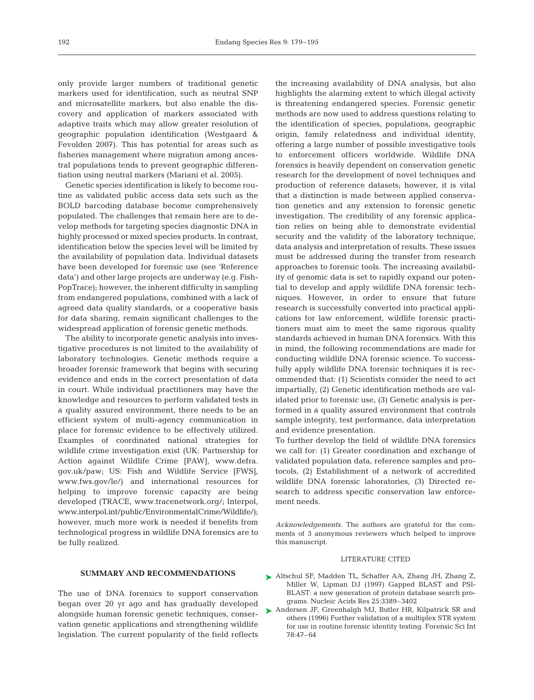only provide larger numbers of traditional genetic markers used for identification, such as neutral SNP and microsatellite markers, but also enable the discovery and application of markers associated with adaptive traits which may allow greater resolution of geographic population identification (Westgaard & Fevolden 2007). This has potential for areas such as fisheries management where migration among ancestral populations tends to prevent geographic differentiation using neutral markers (Mariani et al. 2005).

Genetic species identification is likely to become routine as validated public access data sets such as the BOLD barcoding database become comprehensively populated. The challenges that remain here are to develop methods for targeting species diagnostic DNA in highly processed or mixed species products. In contrast, identification below the species level will be limited by the availability of population data. Individual datasets have been developed for forensic use (see 'Reference data') and other large projects are underway (e.g. Fish-PopTrace); however, the inherent difficulty in sampling from endangered populations, combined with a lack of agreed data quality standards, or a cooperative basis for data sharing, remain significant challenges to the widespread application of forensic genetic methods.

The ability to incorporate genetic analysis into investigative procedures is not limited to the availability of laboratory technologies. Genetic methods require a broader forensic framework that begins with securing evidence and ends in the correct presentation of data in court. While individual practitioners may have the knowledge and resources to perform validated tests in a quality assured environment, there needs to be an efficient system of multi-agency communication in place for forensic evidence to be effectively utilized. Examples of coordinated national strategies for wildlife crime investigation exist (UK: Partnership for Action against Wildlife Crime [PAW], www.defra. gov.uk/paw; US: Fish and Wildlife Service [FWS], www.fws.gov/le/) and international resources for helping to improve forensic capacity are being developed (TRACE, www.tracenetwork.org/; Interpol, www.interpol.int/public/EnvironmentalCrime/Wildlife/); however, much more work is needed if benefits from technological progress in wildlife DNA forensics are to be fully realized.

## **SUMMARY AND RECOMMENDATIONS**

The use of DNA forensics to support conservation began over 20 yr ago and has gradually developed alongside human forensic genetic techniques, conservation genetic applications and strengthening wildlife legislation. The current popularity of the field reflects the increasing availability of DNA analysis, but also highlights the alarming extent to which illegal activity is threatening endangered species. Forensic genetic methods are now used to address questions relating to the identification of species, populations, geographic origin, family relatedness and individual identity, offering a large number of possible investigative tools to enforcement officers worldwide. Wildlife DNA forensics is heavily dependent on conservation genetic research for the development of novel techniques and production of reference datasets; however, it is vital that a distinction is made between applied conservation genetics and any extension to forensic genetic investigation. The credibility of any forensic application relies on being able to demonstrate evidential security and the validity of the laboratory technique, data analysis and interpretation of results. These issues must be addressed during the transfer from research approaches to forensic tools. The increasing availability of genomic data is set to rapidly expand our potential to develop and apply wildlife DNA forensic techniques. However, in order to ensure that future research is successfully converted into practical applications for law enforcement, wildlife forensic practitioners must aim to meet the same rigorous quality standards achieved in human DNA forensics. With this in mind, the following recommendations are made for conducting wildlife DNA forensic science. To successfully apply wildlife DNA forensic techniques it is recommended that: (1) Scientists consider the need to act impartially, (2) Genetic identification methods are validated prior to forensic use, (3) Genetic analysis is performed in a quality assured environment that controls sample integrity, test performance, data interpretation and evidence presentation.

To further develop the field of wildlife DNA forensics we call for: (1) Greater coordination and exchange of validated population data, reference samples and protocols, (2) Establishment of a network of accredited wildlife DNA forensic laboratories, (3) Directed research to address specific conservation law enforcement needs.

Acknowledgements. The authors are grateful for the comments of 3 anonymous reviewers which helped to improve this manuscript.

#### LITERATURE CITED

- Altschul SF, Madden TL, Schaffer AA, Zhang JH, Zhang Z, ➤ Miller W, Lipman DJ (1997) Gapped BLAST and PSI-BLAST: a new generation of protein database search programs. Nucleic Acids Res 25:3389–3402
- ▶ Andersen JF, Greenhalgh MJ, Butler HR, Kilpatrick SR and others (1996) Further validation of a multiplex STR system for use in routine forensic identity testing. Forensic Sci Int 78:47–64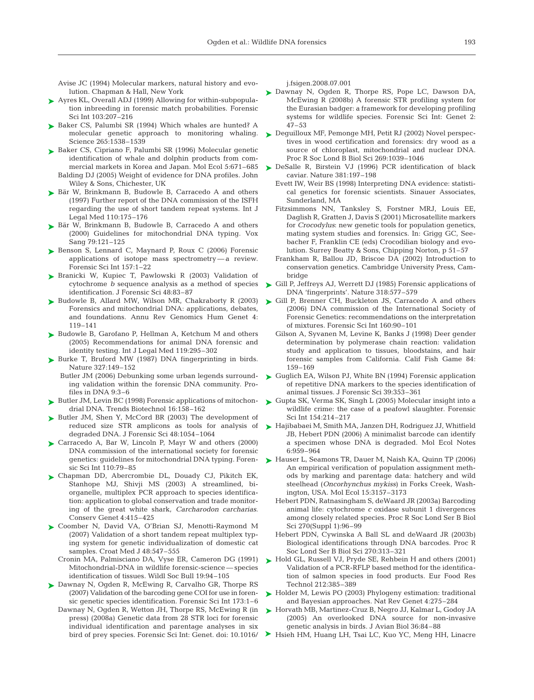Avise JC (1994) Molecular markers, natural history and evolution. Chapman & Hall, New York

- Ayres KL, Overall ADJ (1999) Allowing for within-subpopulation inbreeding in forensic match probabilities. Forensic Sci Int 103:207–216 ➤
- ▶ Baker CS, Palumbi SR (1994) Which whales are hunted? A molecular genetic approach to monitoring whaling. Science 265:1538–1539
- ► Baker CS, Cipriano F, Palumbi SR (1996) Molecular genetic identification of whale and dolphin products from commercial markets in Korea and Japan. Mol Ecol 5:671–685 Balding DJ (2005) Weight of evidence for DNA profiles. John Wiley & Sons, Chichester, UK
- ► Bär W, Brinkmann B, Budowle B, Carracedo A and others (1997) Further report of the DNA commission of the ISFH regarding the use of short tandem repeat systems. Int J Legal Med 110:175–176
- ► Bär W, Brinkmann B, Budowle B, Carracedo A and others (2000) Guidelines for mitochondrial DNA typing. Vox Sang 79:121–125
- ▶ Benson S, Lennard C, Maynard P, Roux C (2006) Forensic applications of isotope mass spectrometry — a review. Forensic Sci Int 157:1–22
- ▶ Branicki W, Kupiec T, Pawlowski R (2003) Validation of cytochrome b sequence analysis as a method of species identification. J Forensic Sci 48:83–87
- ▶ Budowle B, Allard MW, Wilson MR, Chakraborty R (2003) Forensics and mitochondrial DNA: applications, debates, and foundations. Annu Rev Genomics Hum Genet 4: 119–141
- ► Budowle B, Garofano P, Hellman A, Ketchum M and others (2005) Recommendations for animal DNA forensic and identity testing. Int J Legal Med 119:295–302
- ▶ Burke T, Bruford MW (1987) DNA fingerprinting in birds. Nature 327:149–152
	- Butler JM (2006) Debunking some urban legends surrounding validation within the forensic DNA community. Profiles in DNA 9:3–6
- ► Butler JM, Levin BC (1998) Forensic applications of mitochondrial DNA. Trends Biotechnol 16:158–162
- ▶ Butler JM, Shen Y, McCord BR (2003) The development of reduced size STR amplicons as tools for analysis of degraded DNA. J Forensic Sci 48:1054–1064
- ► Carracedo A, Bar W, Lincoln P, Mayr W and others (2000) DNA commission of the international society for forensic genetics: guidelines for mitochondrial DNA typing. Forensic Sci Int 110:79–85
- Chapman DD, Abercrombie DL, Douady CJ, Pikitch EK, ➤ Stanhope MJ, Shivji MS (2003) A streamlined, biorganelle, multiplex PCR approach to species identification: application to global conservation and trade monitoring of the great white shark, Carcharodon carcharias. Conserv Genet 4:415–425
- ▶ Coomber N, David VA, O'Brian SJ, Menotti-Raymond M (2007) Validation of a short tandem repeat multiplex typing system for genetic individualization of domestic cat samples. Croat Med J 48:547–555
	- Cronin MA, Palmisciano DA, Vyse ER, Cameron DG (1991) Mitochondrial-DNA in wildlife forensic-science— species identification of tissues. Wildl Soc Bull 19:94–105
- ▶ Dawnay N, Ogden R, McEwing R, Carvalho GR, Thorpe RS (2007) Validation of the barcoding gene COI for use in forensic genetic species identification. Forensic Sci Int 173:1–6
	- Dawnay N, Ogden R, Wetton JH, Thorpe RS, McEwing R (in press) (2008a) Genetic data from 28 STR loci for forensic individual identification and parentage analyses in six bird of prey species. Forensic Sci Int: Genet. doi: 10.1016/

j.fsigen.2008.07.001

- ► Dawnay N, Ogden R, Thorpe RS, Pope LC, Dawson DA, McEwing R (2008b) A forensic STR profiling system for the Eurasian badger: a framework for developing profiling systems for wildlife species. Forensic Sci Int: Genet 2: 47–53
- ► Deguilloux MF, Pemonge MH, Petit RJ (2002) Novel perspectives in wood certification and forensics: dry wood as a source of chloroplast, mitochondrial and nuclear DNA. Proc R Soc Lond B Biol Sci 269:1039–1046
- ► DeSalle R, Birstein VJ (1996) PCR identification of black caviar. Nature 381:197–198
	- Evett IW, Weir BS (1998) Interpreting DNA evidence: statistical genetics for forensic scientists. Sinauer Associates, Sunderland, MA
	- Fitzsimmons NN, Tanksley S, Forstner MRJ, Louis EE, Daglish R, Gratten J, Davis S (2001) Microsatellite markers for Crocodylus: new genetic tools for population genetics, mating system studies and forensics. In: Grigg GC, Seebacher F, Franklin CE (eds) Crocodilian biology and evolution. Surrey Beatty & Sons, Chipping Norton, p 51–57
	- Frankham R, Ballou JD, Briscoe DA (2002) Introduction to conservation genetics. Cambridge University Press, Cambridge
- Gill P, Jeffreys AJ, Werrett DJ (1985) Forensic applications of DNA 'fingerprints'. Nature 318:577–579 ➤
- ► Gill P, Brenner CH, Buckleton JS, Carracedo A and others (2006) DNA commission of the International Society of Forensic Genetics: recommendations on the interpretation of mixtures. Forensic Sci Int 160:90–101
	- Gilson A, Syvanen M, Levine K, Banks J (1998) Deer gender determination by polymerase chain reaction: validation study and application to tissues, bloodstains, and hair forensic samples from California. Calif Fish Game 84: 159–169
- ► Guglich EA, Wilson PJ, White BN (1994) Forensic application of repetitive DNA markers to the species identification of animal tissues. J Forensic Sci 39:353–361
- ► Gupta SK, Verma SK, Singh L (2005) Molecular insight into a wildlife crime: the case of a peafowl slaughter. Forensic Sci Int 154:214–217
- ► Hajibabaei M, Smith MA, Janzen DH, Rodriguez JJ, Whitfield JB, Hebert PDN (2006) A minimalist barcode can identify a specimen whose DNA is degraded. Mol Ecol Notes 6:959–964
- ► Hauser L, Seamons TR, Dauer M, Naish KA, Quinn TP (2006) An empirical verification of population assignment methods by marking and parentage data: hatchery and wild steelhead (Oncorhynchus mykiss) in Forks Creek, Washington, USA. Mol Ecol 15:3157–3173
	- Hebert PDN, Ratnasingham S, deWaard JR (2003a) Barcoding animal life: cytochrome c oxidase subunit 1 divergences among closely related species. Proc R Soc Lond Ser B Biol Sci 270(Suppl 1):96–99
	- Hebert PDN, Cywinska A Ball SL and deWaard JR (2003b) Biological identifications through DNA barcodes. Proc R Soc Lond Ser B Biol Sci 270:313–321
- ► Hold GL, Russell VJ, Pryde SE, Rehbein H and others (2001) Validation of a PCR-RFLP based method for the identification of salmon species in food products. Eur Food Res Technol 212:385–389
- ► Holder M, Lewis PO (2003) Phylogeny estimation: traditional and Bayesian approaches. Nat Rev Genet 4:275–284
- ▶ Horvath MB, Martinez-Cruz B, Negro JJ, Kalmar L, Godoy JA (2005) An overlooked DNA source for non-invasive genetic analysis in birds. J Avian Biol 36:84–88
- ▶ Hsieh HM, Huang LH, Tsai LC, Kuo YC, Meng HH, Linacre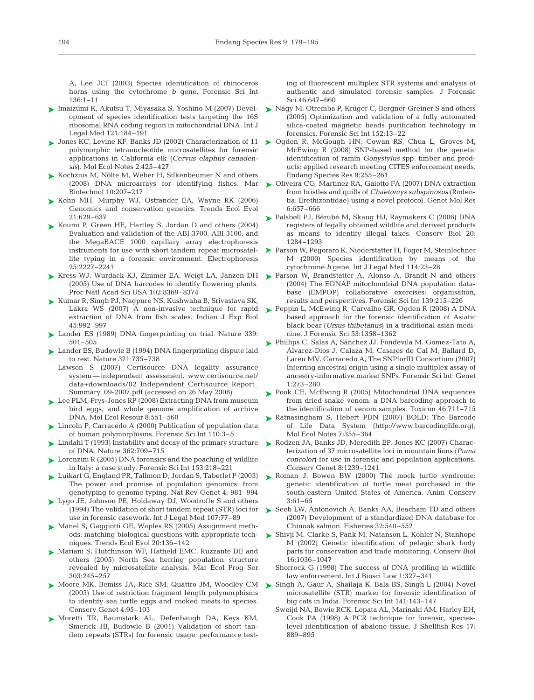A, Lee JCI (2003) Species identification of rhinoceros horns using the cytochrome b gene. Forensic Sci Int 136:1–11

- ► Imaizumi K, Akutsu T, Miyasaka S, Yoshino M (2007) Development of species identification tests targeting the 16S ribosomal RNA coding region in mitochondrial DNA. Int J Legal Med 121:184–191
- ► Jones KC, Levine KF, Banks JD (2002) Characterization of 11 polymorphic tetranucleotide microsatellites for forensic applications in California elk (Cervus elaphus canadensis). Mol Ecol Notes 2:425–427
- ► Kochzius M, Nölte M, Weber H, Silkenbeumer N and others Biotechnol 10:207–217
- ► Kohn MH, Murphy WJ, Ostrander EA, Wayne RK (2006) Genomics and conservation genetics. Trends Ecol Evol 21:629–637
- ► Koumi P, Green HE, Hartley S, Jordan D and others (2004) Evaluation and validation of the ABI 3700, ABI 3100, and the MegaBACE 1000 capillary array electrophoresis instruments for use with short tandem repeat microsatellite typing in a forensic environment. Electrophoresis 25:2227–2241
- ► Kress WJ, Wurdack KJ, Zimmer EA, Weigt LA, Janzen DH ► Parson W, Brandstatter A, Alonso A, Brandt N and others (2005) Use of DNA barcodes to identify flowering plants. Proc Natl Acad Sci USA 102:8369–8374
- ► Kumar R, Singh PJ, Nagpure NS, Kushwaha B, Srivastava SK, Lakra WS (2007) A non-invasive technique for rapid extraction of DNA from fish scales. Indian J Exp Biol 45:992–997
- ► Lander ES (1989) DNA fingerprinting on trial. Nature 339: 501–505
- Lander ES, Budowle B (1994) DNA fingerprinting dispute laid ➤ to rest. Nature 371:735–738
	- Lawson S (2007) Certisource DNA legality assurance system— independent assessment. www.certisource.net/ data+downloads/02\_Independent\_Certisource\_Report\_ Summary\_09-2007.pdf (accessed on 26 May 2008)
- ► Lee PLM, Prys-Jones RP (2008) Extracting DNA from museum bird eggs, and whole genome amplification of archive DNA. Mol Ecol Resour 8:551–560
- ► Lincoln P, Carracedo A (2000) Publication of population data of human polymorphisms. Forensic Sci Int 110:3–5
- ► Lindahl T (1993) Instability and decay of the primary structure of DNA. Nature 362:709–715
- ► Lorenzini R (2005) DNA forensics and the poaching of wildlife in Italy: a case study. Forensic Sci Int 153:218–221
- Luikart G, England PR, Tallmon D, Jordan S, Taberlet P (2003) ➤ The power and promise of population genomics: from genotyping to genome typing. Nat Rev Genet 4: 981–994
- ► Lygo JE, Johnson PE, Holdaway DJ, Woodroffe S and others (1994) The validation of short tandem repeat (STR) loci for use in forensic casework. Int J Legal Med 107:77–89
- ▶ Manel S, Gaggiotti OE, Waples RS (2005) Assignment methods: matching biological questions with appropriate techniques. Trends Ecol Evol 20:136–142
- ▶ Mariani S, Hutchinson WF, Hatfield EMC, Ruzzante DE and others (2005) North Sea herring population structure revealed by microsatellite analysis. Mar Ecol Prog Ser 303:245–257
- ▶ Moore MK, Bemiss JA, Rice SM, Quattro JM, Woodley CM (2003) Use of restriction fragment length polymorphisms to identify sea turtle eggs and cooked meats to species. Conserv Genet 4:95–103
- Moretti TR, Baumstark AL, Defenbaugh DA, Keys KM, ➤ Smerick JB, Budowle B (2001) Validation of short tandem repeats (STRs) for forensic usage: performance test-

ing of fluorescent multiplex STR systems and analysis of authentic and simulated forensic samples. J Forensic Sci 46:647–660

- ► Nagy M, Otremba P, Krüger C, Bergner-Greiner S and others (2005) Optimization and validation of a fully automated silica-coated magnetic beads purification technology in forensics. Forensic Sci Int 152:13–22
- ▶ Ogden R, McGough HN, Cowan RS, Chua L, Groves M, McEwing R (2008) SNP-based method for the genetic identification of ramin Gonystylus spp. timber and products: applied research meeting CITES enforcement needs. Endang Species Res 9:255–261
- (2008) DNA microarrays for identifying fishes. Mar Oliveira CG, Martinez RA, Gaiotto FA (2007) DNA extraction ➤ from bristles and quills of Chaetomys subspinosus (Rodentia: Erethizontidae) using a novel protocol. Genet Mol Res 6:657–666
	- Palsbøll PJ, Bérubé M, Skaug HJ, Raymakers C (2006) DNA ➤ registers of legally obtained wildlife and derived products as means to identify illegal takes. Conserv Biol 20: 1284–1293
	- ▶ Parson W, Pegoraro K, Niederstatter H, Foger M, Steinlechner M (2000) Species identification by means of the cytochrome b gene. Int J Legal Med 114:23–28
	- (2004) The EDNAP mitochondrial DNA population database (EMPOP) collaborative exercises: organisation, results and perspectives. Forensic Sci Int 139:215–226
	- ▶ Peppin L, McEwing R, Carvalho GR, Ogden R (2008) A DNA based approach for the forensic identification of Asiatic black bear (Ursus thibetanus) in a traditional asian medicine. J Forensic Sci 53:1358–1362
	- ► Phillips C, Salas A, Sánchez JJ, Fondevila M. Gómez-Tato A, Álvarez-Dios J, Calaza M, Casares de Cal M, Ballard D, Lareu MV, Carracedo A, The SNPforID Consortium (2007) Inferring ancestral origin using a single multiplex assay of ancestry-informative marker SNPs. Forensic Sci Int: Genet 1:273–280
	- ► Pook CE, McEwing R (2005) Mitochondrial DNA sequences from dried snake venom: a DNA barcoding approach to the identification of venom samples. Toxicon 46:711–715
	- ▶ Ratnasingham S, Hebert PDN (2007) BOLD: The Barcode of Life Data System (http://www.barcodinglife.org). Mol Ecol Notes 7:355–364
	- ▶ Rodzen JA, Banks JD, Meredith EP, Jones KC (2007) Characterization of 37 microsatellite loci in mountain lions (Puma concolor) for use in forensic and population applications. Conserv Genet 8:1239–1241
	- ▶ Roman J, Bowen BW (2000) The mock turtle syndrome: genetic identification of turtle meat purchased in the south-eastern United States of America. Anim Conserv 3:61–65
	- ► Seeb LW, Antonovich A, Banks AA, Beacham TD and others (2007) Development of a standardized DNA database for Chinook salmon. Fisheries 32:540–552
	- ► Shivji M, Clarke S, Pank M, Natanson L, Kohler N, Stanhope M (2002) Genetic identification of pelagic shark body parts for conservation and trade monitoring. Conserv Biol 16:1036–1047
		- Shorrock G (1998) The success of DNA profiling in wildlife law enforcement. Int J Biosci Law 1:327–341
	- ► Singh A, Gaur A, Shailaja K, Bala BS, Singh L (2004) Novel microsatellite (STR) marker for forensic identification of big cats in India. Forensic Sci Int 141:143–147
		- Sweijd NA, Bowie RCK, Lopata AL, Marinaki AM, Harley EH, Cook PA (1998) A PCR technique for forensic, specieslevel identification of abalone tissue. J Shellfish Res 17: 889–895